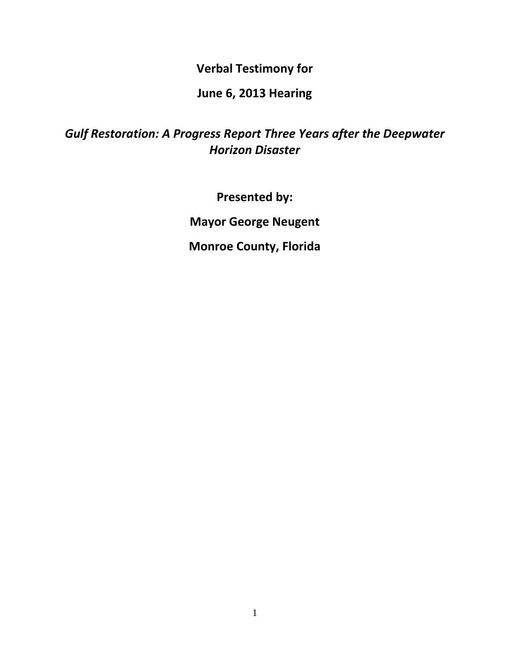**Verbal Testimony for**

## **June 6, 2013 Hearing**

## *Gulf Restoration: A Progress Report Three Years after the Deepwater Horizon Disaster*

**Presented by:**

**Mayor George Neugent**

**Monroe County, Florida**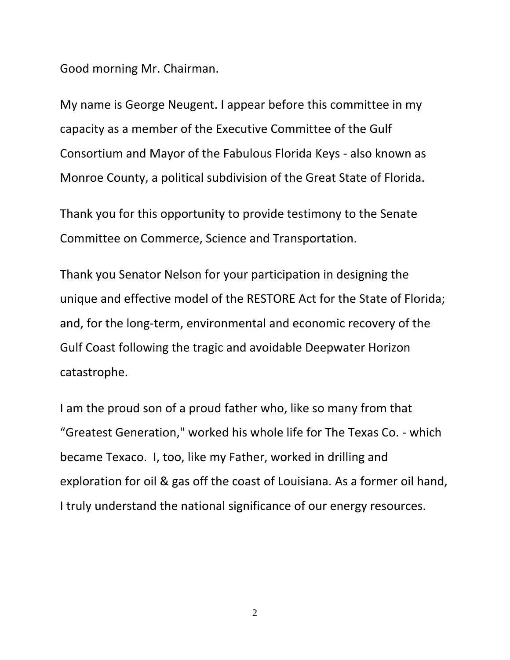Good morning Mr. Chairman.

My name is George Neugent. I appear before this committee in my capacity as a member of the Executive Committee of the Gulf Consortium and Mayor of the Fabulous Florida Keys - also known as Monroe County, a political subdivision of the Great State of Florida.

Thank you for this opportunity to provide testimony to the Senate Committee on Commerce, Science and Transportation.

Thank you Senator Nelson for your participation in designing the unique and effective model of the RESTORE Act for the State of Florida; and, for the long-term, environmental and economic recovery of the Gulf Coast following the tragic and avoidable Deepwater Horizon catastrophe.

I am the proud son of a proud father who, like so many from that "Greatest Generation," worked his whole life for The Texas Co. - which became Texaco. I, too, like my Father, worked in drilling and exploration for oil & gas off the coast of Louisiana. As a former oil hand, I truly understand the national significance of our energy resources.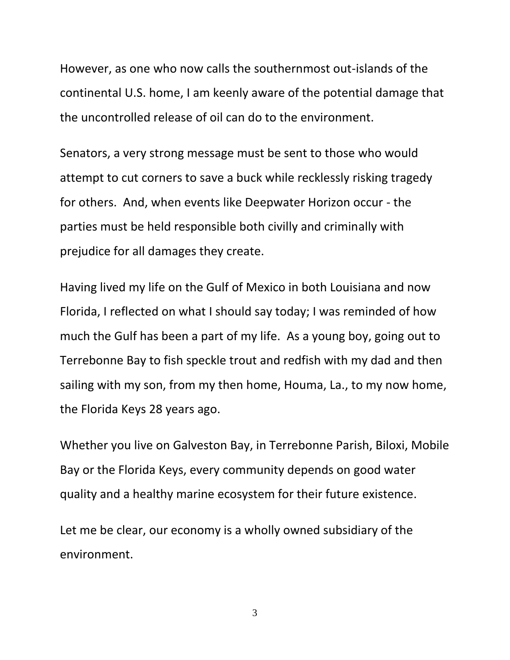However, as one who now calls the southernmost out-islands of the continental U.S. home, I am keenly aware of the potential damage that the uncontrolled release of oil can do to the environment.

Senators, a very strong message must be sent to those who would attempt to cut corners to save a buck while recklessly risking tragedy for others. And, when events like Deepwater Horizon occur - the parties must be held responsible both civilly and criminally with prejudice for all damages they create.

Having lived my life on the Gulf of Mexico in both Louisiana and now Florida, I reflected on what I should say today; I was reminded of how much the Gulf has been a part of my life. As a young boy, going out to Terrebonne Bay to fish speckle trout and redfish with my dad and then sailing with my son, from my then home, Houma, La., to my now home, the Florida Keys 28 years ago.

Whether you live on Galveston Bay, in Terrebonne Parish, Biloxi, Mobile Bay or the Florida Keys, every community depends on good water quality and a healthy marine ecosystem for their future existence.

Let me be clear, our economy is a wholly owned subsidiary of the environment.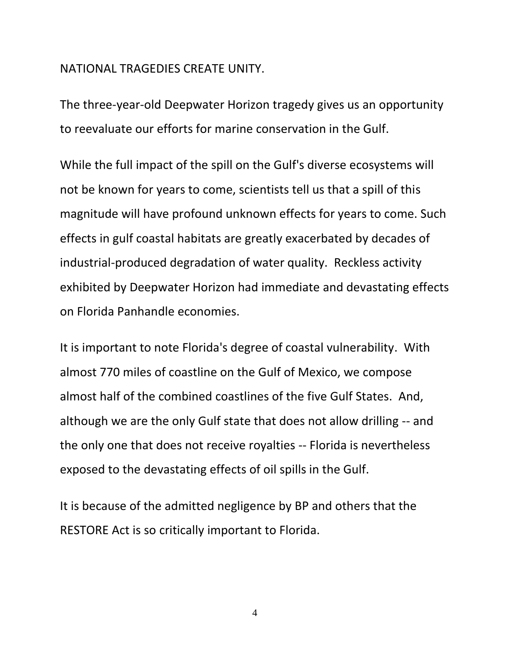## NATIONAL TRAGEDIES CREATE UNITY.

The three-year-old Deepwater Horizon tragedy gives us an opportunity to reevaluate our efforts for marine conservation in the Gulf.

While the full impact of the spill on the Gulf's diverse ecosystems will not be known for years to come, scientists tell us that a spill of this magnitude will have profound unknown effects for years to come. Such effects in gulf coastal habitats are greatly exacerbated by decades of industrial-produced degradation of water quality. Reckless activity exhibited by Deepwater Horizon had immediate and devastating effects on Florida Panhandle economies.

It is important to note Florida's degree of coastal vulnerability. With almost 770 miles of coastline on the Gulf of Mexico, we compose almost half of the combined coastlines of the five Gulf States. And, although we are the only Gulf state that does not allow drilling -- and the only one that does not receive royalties -- Florida is nevertheless exposed to the devastating effects of oil spills in the Gulf.

It is because of the admitted negligence by BP and others that the RESTORE Act is so critically important to Florida.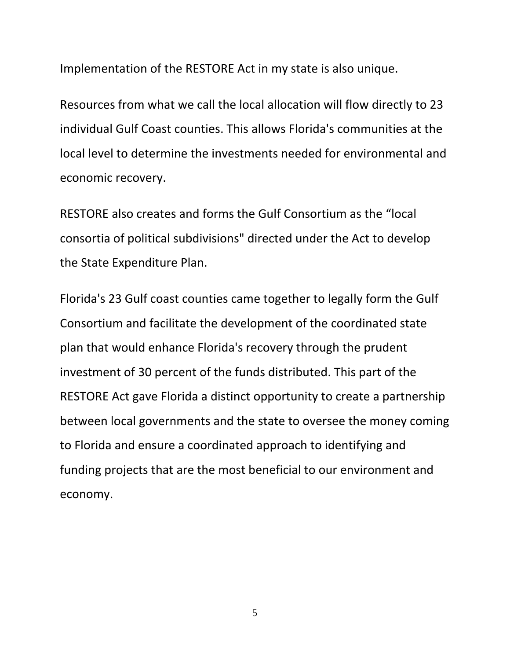Implementation of the RESTORE Act in my state is also unique.

Resources from what we call the local allocation will flow directly to 23 individual Gulf Coast counties. This allows Florida's communities at the local level to determine the investments needed for environmental and economic recovery.

RESTORE also creates and forms the Gulf Consortium as the "local consortia of political subdivisions" directed under the Act to develop the State Expenditure Plan.

Florida's 23 Gulf coast counties came together to legally form the Gulf Consortium and facilitate the development of the coordinated state plan that would enhance Florida's recovery through the prudent investment of 30 percent of the funds distributed. This part of the RESTORE Act gave Florida a distinct opportunity to create a partnership between local governments and the state to oversee the money coming to Florida and ensure a coordinated approach to identifying and funding projects that are the most beneficial to our environment and economy.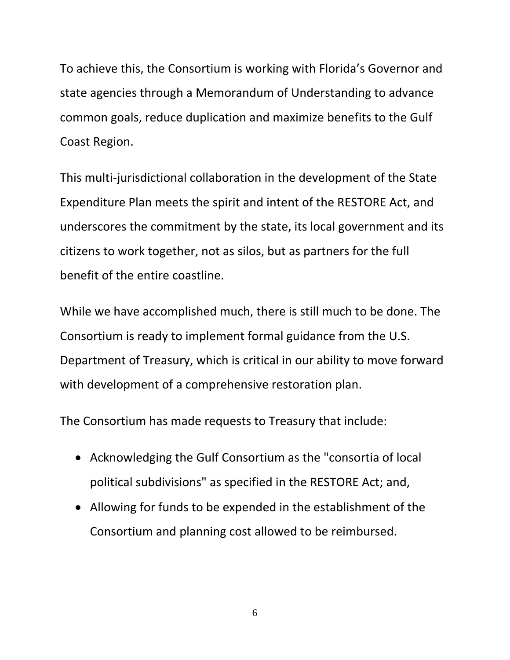To achieve this, the Consortium is working with Florida's Governor and state agencies through a Memorandum of Understanding to advance common goals, reduce duplication and maximize benefits to the Gulf Coast Region.

This multi-jurisdictional collaboration in the development of the State Expenditure Plan meets the spirit and intent of the RESTORE Act, and underscores the commitment by the state, its local government and its citizens to work together, not as silos, but as partners for the full benefit of the entire coastline.

While we have accomplished much, there is still much to be done. The Consortium is ready to implement formal guidance from the U.S. Department of Treasury, which is critical in our ability to move forward with development of a comprehensive restoration plan.

The Consortium has made requests to Treasury that include:

- Acknowledging the Gulf Consortium as the "consortia of local political subdivisions" as specified in the RESTORE Act; and,
- Allowing for funds to be expended in the establishment of the Consortium and planning cost allowed to be reimbursed.